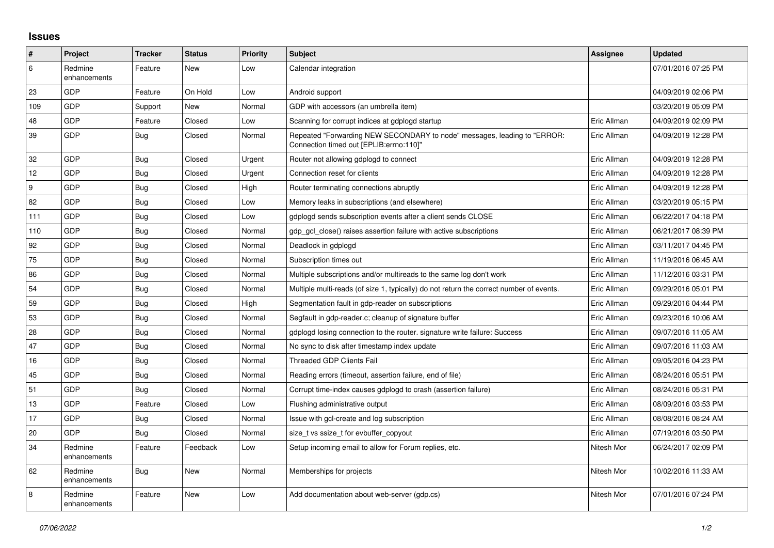## **Issues**

| #   | Project                 | <b>Tracker</b> | <b>Status</b> | <b>Priority</b> | <b>Subject</b>                                                                                                      | Assignee    | <b>Updated</b>      |
|-----|-------------------------|----------------|---------------|-----------------|---------------------------------------------------------------------------------------------------------------------|-------------|---------------------|
| 6   | Redmine<br>enhancements | Feature        | New           | Low             | Calendar integration                                                                                                |             | 07/01/2016 07:25 PM |
| 23  | <b>GDP</b>              | Feature        | On Hold       | Low             | Android support                                                                                                     |             | 04/09/2019 02:06 PM |
| 109 | GDP                     | Support        | New           | Normal          | GDP with accessors (an umbrella item)                                                                               |             | 03/20/2019 05:09 PM |
| 48  | <b>GDP</b>              | Feature        | Closed        | Low             | Scanning for corrupt indices at gdplogd startup                                                                     | Eric Allman | 04/09/2019 02:09 PM |
| 39  | <b>GDP</b>              | <b>Bug</b>     | Closed        | Normal          | Repeated "Forwarding NEW SECONDARY to node" messages, leading to "ERROR:<br>Connection timed out [EPLIB:errno:110]" | Eric Allman | 04/09/2019 12:28 PM |
| 32  | GDP                     | Bug            | Closed        | Urgent          | Router not allowing gdplogd to connect                                                                              | Eric Allman | 04/09/2019 12:28 PM |
| 12  | <b>GDP</b>              | <b>Bug</b>     | Closed        | Urgent          | Connection reset for clients                                                                                        | Eric Allman | 04/09/2019 12:28 PM |
| 9   | GDP                     | <b>Bug</b>     | Closed        | High            | Router terminating connections abruptly                                                                             | Eric Allman | 04/09/2019 12:28 PM |
| 82  | <b>GDP</b>              | <b>Bug</b>     | Closed        | Low             | Memory leaks in subscriptions (and elsewhere)                                                                       | Eric Allman | 03/20/2019 05:15 PM |
| 111 | GDP                     | <b>Bug</b>     | Closed        | Low             | gdplogd sends subscription events after a client sends CLOSE                                                        | Eric Allman | 06/22/2017 04:18 PM |
| 110 | GDP                     | <b>Bug</b>     | Closed        | Normal          | gdp gcl close() raises assertion failure with active subscriptions                                                  | Eric Allman | 06/21/2017 08:39 PM |
| 92  | GDP                     | Bug            | Closed        | Normal          | Deadlock in gdplogd                                                                                                 | Eric Allman | 03/11/2017 04:45 PM |
| 75  | <b>GDP</b>              | <b>Bug</b>     | Closed        | Normal          | Subscription times out                                                                                              | Eric Allman | 11/19/2016 06:45 AM |
| 86  | GDP                     | <b>Bug</b>     | Closed        | Normal          | Multiple subscriptions and/or multireads to the same log don't work                                                 | Eric Allman | 11/12/2016 03:31 PM |
| 54  | <b>GDP</b>              | <b>Bug</b>     | Closed        | Normal          | Multiple multi-reads (of size 1, typically) do not return the correct number of events.                             | Eric Allman | 09/29/2016 05:01 PM |
| 59  | GDP                     | Bug            | Closed        | High            | Segmentation fault in gdp-reader on subscriptions                                                                   | Eric Allman | 09/29/2016 04:44 PM |
| 53  | GDP                     | <b>Bug</b>     | Closed        | Normal          | Segfault in gdp-reader.c; cleanup of signature buffer                                                               | Eric Allman | 09/23/2016 10:06 AM |
| 28  | GDP                     | <b>Bug</b>     | Closed        | Normal          | gdplogd losing connection to the router. signature write failure: Success                                           | Eric Allman | 09/07/2016 11:05 AM |
| 47  | <b>GDP</b>              | Bug            | Closed        | Normal          | No sync to disk after timestamp index update                                                                        | Eric Allman | 09/07/2016 11:03 AM |
| 16  | GDP                     | <b>Bug</b>     | Closed        | Normal          | <b>Threaded GDP Clients Fail</b>                                                                                    | Eric Allman | 09/05/2016 04:23 PM |
| 45  | GDP                     | <b>Bug</b>     | Closed        | Normal          | Reading errors (timeout, assertion failure, end of file)                                                            | Eric Allman | 08/24/2016 05:51 PM |
| 51  | <b>GDP</b>              | Bug            | Closed        | Normal          | Corrupt time-index causes gdplogd to crash (assertion failure)                                                      | Eric Allman | 08/24/2016 05:31 PM |
| 13  | GDP                     | Feature        | Closed        | Low             | Flushing administrative output                                                                                      | Eric Allman | 08/09/2016 03:53 PM |
| 17  | GDP                     | <b>Bug</b>     | Closed        | Normal          | Issue with gcl-create and log subscription                                                                          | Eric Allman | 08/08/2016 08:24 AM |
| 20  | GDP                     | <b>Bug</b>     | Closed        | Normal          | size t vs ssize t for evbuffer copyout                                                                              | Eric Allman | 07/19/2016 03:50 PM |
| 34  | Redmine<br>enhancements | Feature        | Feedback      | Low             | Setup incoming email to allow for Forum replies, etc.                                                               | Nitesh Mor  | 06/24/2017 02:09 PM |
| 62  | Redmine<br>enhancements | Bug            | New           | Normal          | Memberships for projects                                                                                            | Nitesh Mor  | 10/02/2016 11:33 AM |
| 8   | Redmine<br>enhancements | Feature        | New           | Low             | Add documentation about web-server (gdp.cs)                                                                         | Nitesh Mor  | 07/01/2016 07:24 PM |